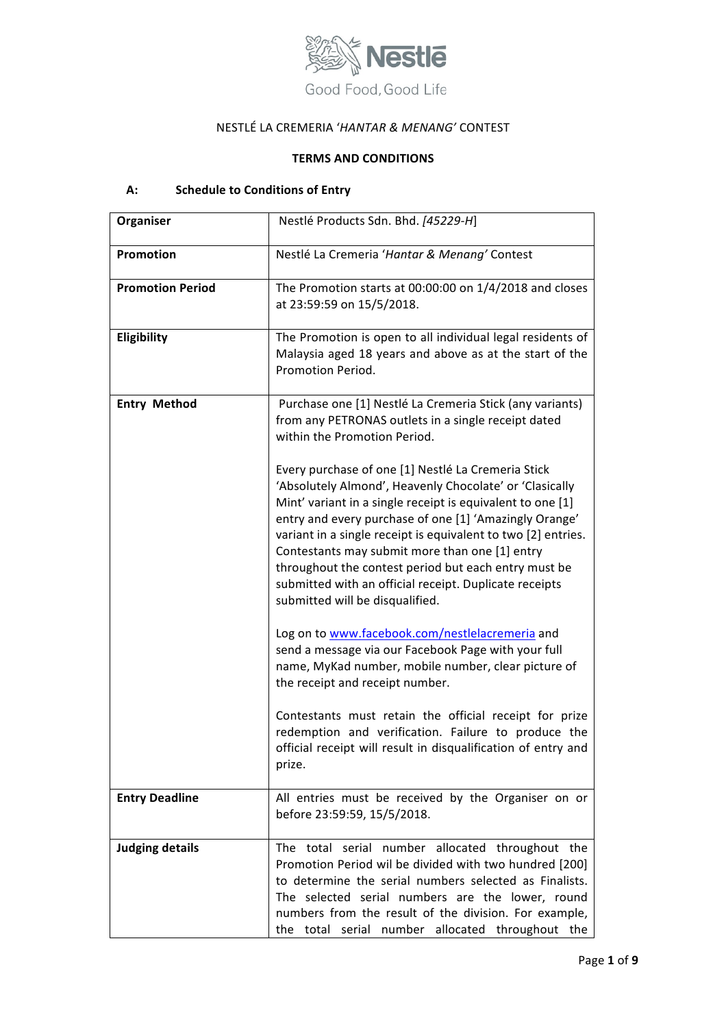

# NESTLÉ LA CREMERIA '*HANTAR & MENANG'* CONTEST

## **TERMS AND CONDITIONS**

# A: Schedule to Conditions of Entry

| Organiser               | Nestlé Products Sdn. Bhd. [45229-H]                                                                                                                                                                                                                                                                                                                                                                                                                                                                           |
|-------------------------|---------------------------------------------------------------------------------------------------------------------------------------------------------------------------------------------------------------------------------------------------------------------------------------------------------------------------------------------------------------------------------------------------------------------------------------------------------------------------------------------------------------|
| Promotion               | Nestlé La Cremeria 'Hantar & Menang' Contest                                                                                                                                                                                                                                                                                                                                                                                                                                                                  |
| <b>Promotion Period</b> | The Promotion starts at 00:00:00 on 1/4/2018 and closes<br>at 23:59:59 on 15/5/2018.                                                                                                                                                                                                                                                                                                                                                                                                                          |
| Eligibility             | The Promotion is open to all individual legal residents of<br>Malaysia aged 18 years and above as at the start of the<br>Promotion Period.                                                                                                                                                                                                                                                                                                                                                                    |
| <b>Entry Method</b>     | Purchase one [1] Nestlé La Cremeria Stick (any variants)<br>from any PETRONAS outlets in a single receipt dated<br>within the Promotion Period.                                                                                                                                                                                                                                                                                                                                                               |
|                         | Every purchase of one [1] Nestlé La Cremeria Stick<br>'Absolutely Almond', Heavenly Chocolate' or 'Clasically<br>Mint' variant in a single receipt is equivalent to one [1]<br>entry and every purchase of one [1] 'Amazingly Orange'<br>variant in a single receipt is equivalent to two [2] entries.<br>Contestants may submit more than one [1] entry<br>throughout the contest period but each entry must be<br>submitted with an official receipt. Duplicate receipts<br>submitted will be disqualified. |
|                         | Log on to www.facebook.com/nestlelacremeria and<br>send a message via our Facebook Page with your full<br>name, MyKad number, mobile number, clear picture of<br>the receipt and receipt number.                                                                                                                                                                                                                                                                                                              |
|                         | Contestants must retain the official receipt for prize<br>redemption and verification. Failure to produce the<br>official receipt will result in disqualification of entry and<br>prize.                                                                                                                                                                                                                                                                                                                      |
| <b>Entry Deadline</b>   | All entries must be received by the Organiser on or<br>before 23:59:59, 15/5/2018.                                                                                                                                                                                                                                                                                                                                                                                                                            |
| <b>Judging details</b>  | The total serial number allocated throughout the<br>Promotion Period wil be divided with two hundred [200]<br>to determine the serial numbers selected as Finalists.<br>The selected serial numbers are the lower, round<br>numbers from the result of the division. For example,<br>the total serial number allocated throughout the                                                                                                                                                                         |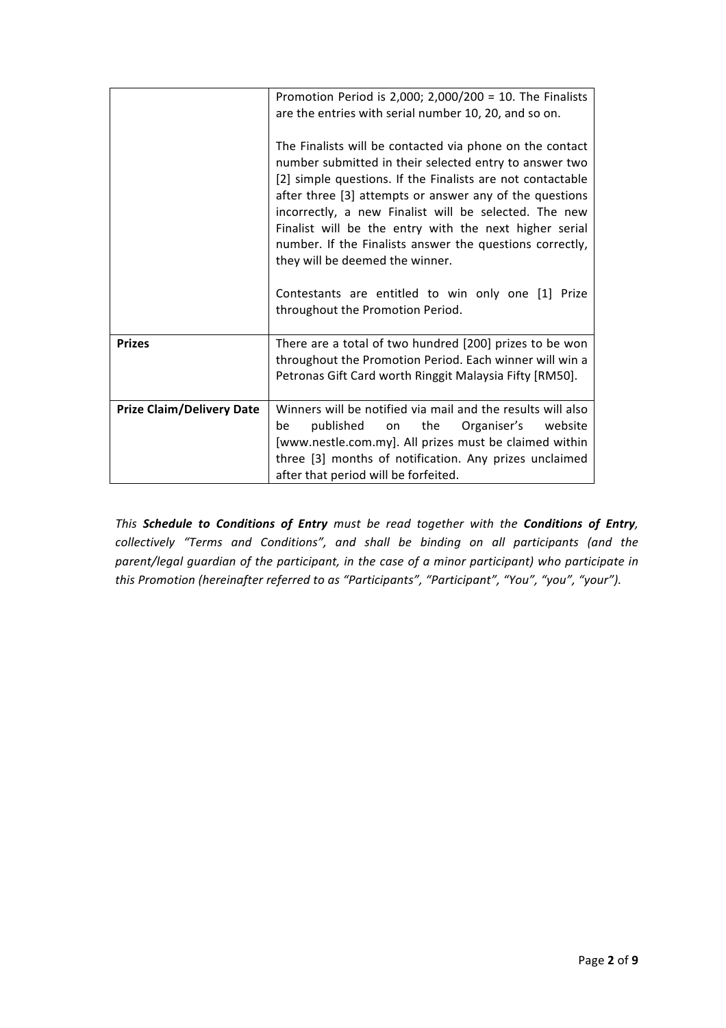|                                  | Promotion Period is 2,000; 2,000/200 = 10. The Finalists<br>are the entries with serial number 10, 20, and so on.<br>The Finalists will be contacted via phone on the contact<br>number submitted in their selected entry to answer two<br>[2] simple questions. If the Finalists are not contactable<br>after three [3] attempts or answer any of the questions<br>incorrectly, a new Finalist will be selected. The new<br>Finalist will be the entry with the next higher serial<br>number. If the Finalists answer the questions correctly,<br>they will be deemed the winner. |
|----------------------------------|------------------------------------------------------------------------------------------------------------------------------------------------------------------------------------------------------------------------------------------------------------------------------------------------------------------------------------------------------------------------------------------------------------------------------------------------------------------------------------------------------------------------------------------------------------------------------------|
|                                  | Contestants are entitled to win only one [1] Prize<br>throughout the Promotion Period.                                                                                                                                                                                                                                                                                                                                                                                                                                                                                             |
| <b>Prizes</b>                    | There are a total of two hundred [200] prizes to be won<br>throughout the Promotion Period. Each winner will win a<br>Petronas Gift Card worth Ringgit Malaysia Fifty [RM50].                                                                                                                                                                                                                                                                                                                                                                                                      |
| <b>Prize Claim/Delivery Date</b> | Winners will be notified via mail and the results will also<br>published<br>the<br>Organiser's<br>website<br>be<br>on<br>[www.nestle.com.my]. All prizes must be claimed within<br>three [3] months of notification. Any prizes unclaimed<br>after that period will be forfeited.                                                                                                                                                                                                                                                                                                  |

*This Schedule to Conditions of Entry must be read together with the Conditions of Entry, collectively "Terms and Conditions", and shall be binding on all participants (and the parent/legal guardian of the participant, in the case of a minor participant)* who participate in *this Promotion* (hereinafter referred to as "Participants", "Participant", "You", "you", "your").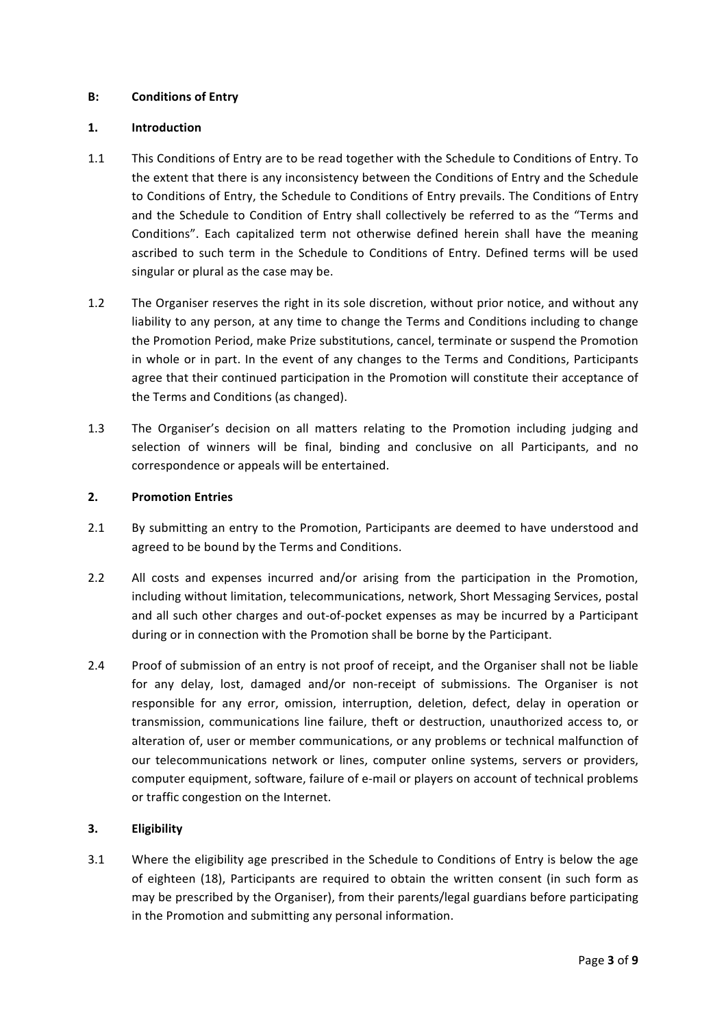#### **B: Conditions of Entry**

#### **1. Introduction**

- 1.1 This Conditions of Entry are to be read together with the Schedule to Conditions of Entry. To the extent that there is any inconsistency between the Conditions of Entry and the Schedule to Conditions of Entry, the Schedule to Conditions of Entry prevails. The Conditions of Entry and the Schedule to Condition of Entry shall collectively be referred to as the "Terms and Conditions". Each capitalized term not otherwise defined herein shall have the meaning ascribed to such term in the Schedule to Conditions of Entry. Defined terms will be used singular or plural as the case may be.
- 1.2 The Organiser reserves the right in its sole discretion, without prior notice, and without any liability to any person, at any time to change the Terms and Conditions including to change the Promotion Period, make Prize substitutions, cancel, terminate or suspend the Promotion in whole or in part. In the event of any changes to the Terms and Conditions, Participants agree that their continued participation in the Promotion will constitute their acceptance of the Terms and Conditions (as changed).
- 1.3 The Organiser's decision on all matters relating to the Promotion including judging and selection of winners will be final, binding and conclusive on all Participants, and no correspondence or appeals will be entertained.

#### **2. Promotion Entries**

- 2.1 By submitting an entry to the Promotion, Participants are deemed to have understood and agreed to be bound by the Terms and Conditions.
- 2.2 All costs and expenses incurred and/or arising from the participation in the Promotion, including without limitation, telecommunications, network, Short Messaging Services, postal and all such other charges and out-of-pocket expenses as may be incurred by a Participant during or in connection with the Promotion shall be borne by the Participant.
- 2.4 Proof of submission of an entry is not proof of receipt, and the Organiser shall not be liable for any delay, lost, damaged and/or non-receipt of submissions. The Organiser is not responsible for any error, omission, interruption, deletion, defect, delay in operation or transmission, communications line failure, theft or destruction, unauthorized access to, or alteration of, user or member communications, or any problems or technical malfunction of our telecommunications network or lines, computer online systems, servers or providers, computer equipment, software, failure of e-mail or players on account of technical problems or traffic congestion on the Internet.

## **3. Eligibility**

3.1 Where the eligibility age prescribed in the Schedule to Conditions of Entry is below the age of eighteen (18), Participants are required to obtain the written consent (in such form as may be prescribed by the Organiser), from their parents/legal guardians before participating in the Promotion and submitting any personal information.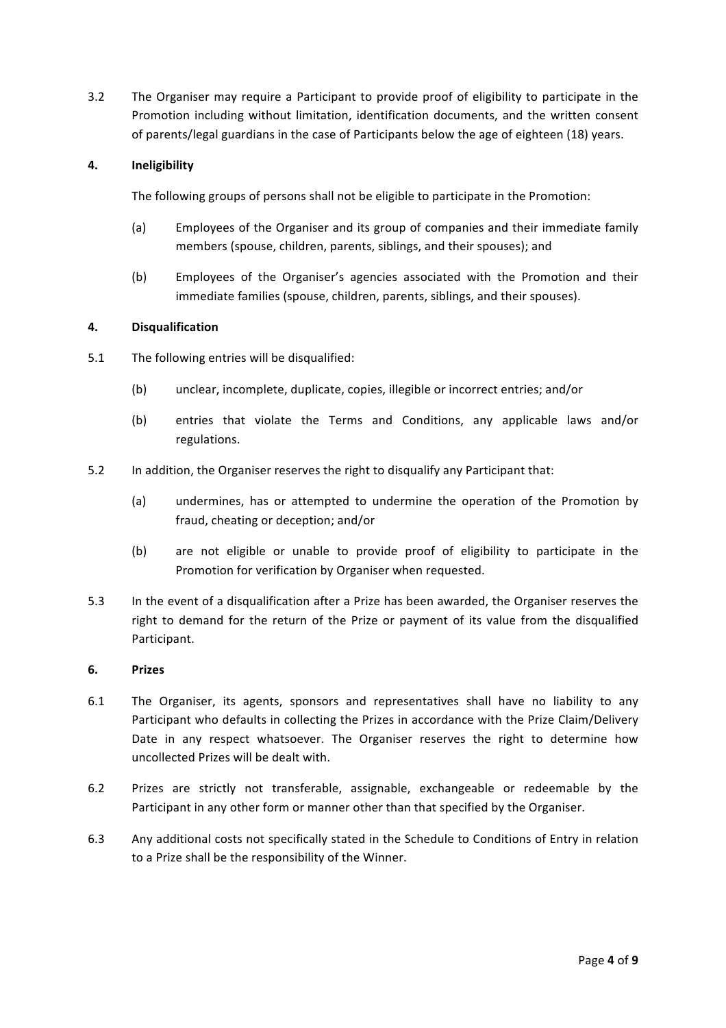3.2 The Organiser may require a Participant to provide proof of eligibility to participate in the Promotion including without limitation, identification documents, and the written consent of parents/legal guardians in the case of Participants below the age of eighteen (18) years.

#### **4. Ineligibility**

The following groups of persons shall not be eligible to participate in the Promotion:

- (a) Employees of the Organiser and its group of companies and their immediate family members (spouse, children, parents, siblings, and their spouses); and
- (b) Employees of the Organiser's agencies associated with the Promotion and their immediate families (spouse, children, parents, siblings, and their spouses).

#### **4. Disqualification**

- 5.1 The following entries will be disqualified:
	- (b) unclear, incomplete, duplicate, copies, illegible or incorrect entries; and/or
	- (b) entries that violate the Terms and Conditions, any applicable laws and/or regulations.
- 5.2 In addition, the Organiser reserves the right to disqualify any Participant that:
	- (a) undermines, has or attempted to undermine the operation of the Promotion by fraud, cheating or deception; and/or
	- (b) are not eligible or unable to provide proof of eligibility to participate in the Promotion for verification by Organiser when requested.
- 5.3 In the event of a disqualification after a Prize has been awarded, the Organiser reserves the right to demand for the return of the Prize or payment of its value from the disqualified Participant.

#### **6. Prizes**

- 6.1 The Organiser, its agents, sponsors and representatives shall have no liability to any Participant who defaults in collecting the Prizes in accordance with the Prize Claim/Delivery Date in any respect whatsoever. The Organiser reserves the right to determine how uncollected Prizes will be dealt with.
- 6.2 Prizes are strictly not transferable, assignable, exchangeable or redeemable by the Participant in any other form or manner other than that specified by the Organiser.
- 6.3 Any additional costs not specifically stated in the Schedule to Conditions of Entry in relation to a Prize shall be the responsibility of the Winner.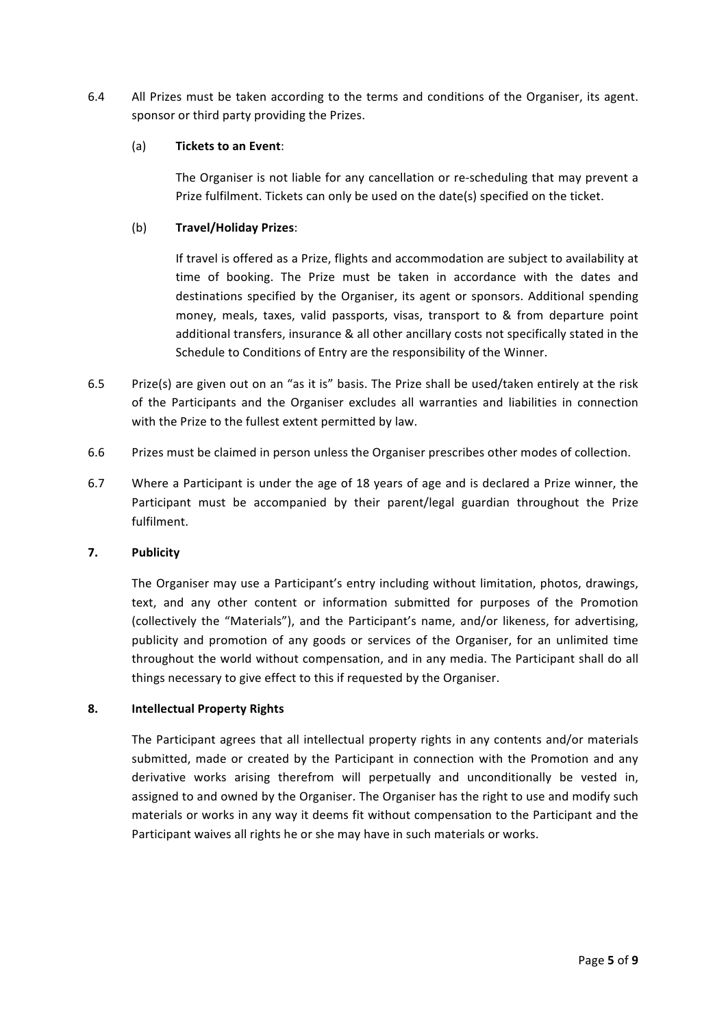6.4 All Prizes must be taken according to the terms and conditions of the Organiser, its agent. sponsor or third party providing the Prizes.

#### (a) **Tickets to an Event:**

The Organiser is not liable for any cancellation or re-scheduling that may prevent a Prize fulfilment. Tickets can only be used on the date(s) specified on the ticket.

### (b) **Travel/Holiday Prizes**:

If travel is offered as a Prize, flights and accommodation are subject to availability at time of booking. The Prize must be taken in accordance with the dates and destinations specified by the Organiser, its agent or sponsors. Additional spending money, meals, taxes, valid passports, visas, transport to  $\&$  from departure point additional transfers, insurance & all other ancillary costs not specifically stated in the Schedule to Conditions of Entry are the responsibility of the Winner.

- 6.5 Prize(s) are given out on an "as it is" basis. The Prize shall be used/taken entirely at the risk of the Participants and the Organiser excludes all warranties and liabilities in connection with the Prize to the fullest extent permitted by law.
- 6.6 Prizes must be claimed in person unless the Organiser prescribes other modes of collection.
- 6.7 Where a Participant is under the age of 18 years of age and is declared a Prize winner, the Participant must be accompanied by their parent/legal guardian throughout the Prize fulfilment.

#### **7. Publicity**

The Organiser may use a Participant's entry including without limitation, photos, drawings, text, and any other content or information submitted for purposes of the Promotion (collectively the "Materials"), and the Participant's name, and/or likeness, for advertising, publicity and promotion of any goods or services of the Organiser, for an unlimited time throughout the world without compensation, and in any media. The Participant shall do all things necessary to give effect to this if requested by the Organiser.

#### **8. Intellectual Property Rights**

The Participant agrees that all intellectual property rights in any contents and/or materials submitted, made or created by the Participant in connection with the Promotion and any derivative works arising therefrom will perpetually and unconditionally be vested in, assigned to and owned by the Organiser. The Organiser has the right to use and modify such materials or works in any way it deems fit without compensation to the Participant and the Participant waives all rights he or she may have in such materials or works.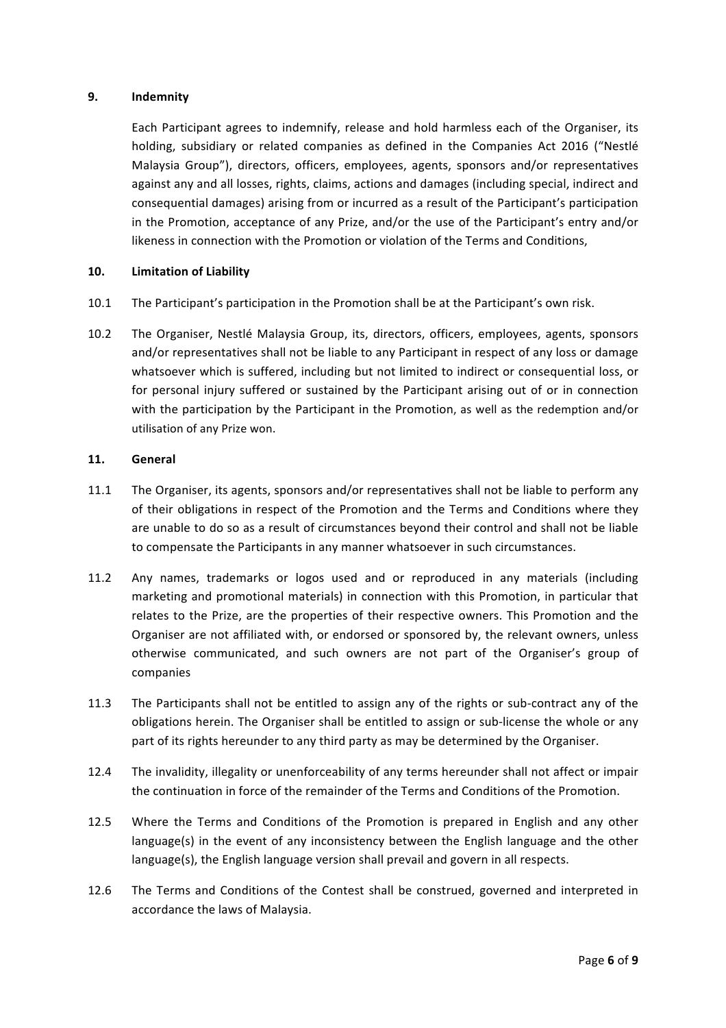#### **9. Indemnity**

Each Participant agrees to indemnify, release and hold harmless each of the Organiser, its holding, subsidiary or related companies as defined in the Companies Act 2016 ("Nestlé Malaysia Group"), directors, officers, employees, agents, sponsors and/or representatives against any and all losses, rights, claims, actions and damages (including special, indirect and consequential damages) arising from or incurred as a result of the Participant's participation in the Promotion, acceptance of any Prize, and/or the use of the Participant's entry and/or likeness in connection with the Promotion or violation of the Terms and Conditions,

#### **10. Limitation of Liability**

- 10.1 The Participant's participation in the Promotion shall be at the Participant's own risk.
- 10.2 The Organiser, Nestlé Malaysia Group, its, directors, officers, employees, agents, sponsors and/or representatives shall not be liable to any Participant in respect of any loss or damage whatsoever which is suffered, including but not limited to indirect or consequential loss, or for personal injury suffered or sustained by the Participant arising out of or in connection with the participation by the Participant in the Promotion, as well as the redemption and/or utilisation of any Prize won.

#### **11. General**

- 11.1 The Organiser, its agents, sponsors and/or representatives shall not be liable to perform any of their obligations in respect of the Promotion and the Terms and Conditions where they are unable to do so as a result of circumstances beyond their control and shall not be liable to compensate the Participants in any manner whatsoever in such circumstances.
- 11.2 Any names, trademarks or logos used and or reproduced in any materials (including marketing and promotional materials) in connection with this Promotion, in particular that relates to the Prize, are the properties of their respective owners. This Promotion and the Organiser are not affiliated with, or endorsed or sponsored by, the relevant owners, unless otherwise communicated, and such owners are not part of the Organiser's group of companies
- 11.3 The Participants shall not be entitled to assign any of the rights or sub-contract any of the obligations herein. The Organiser shall be entitled to assign or sub-license the whole or any part of its rights hereunder to any third party as may be determined by the Organiser.
- 12.4 The invalidity, illegality or unenforceability of any terms hereunder shall not affect or impair the continuation in force of the remainder of the Terms and Conditions of the Promotion.
- 12.5 Where the Terms and Conditions of the Promotion is prepared in English and any other language(s) in the event of any inconsistency between the English language and the other language(s), the English language version shall prevail and govern in all respects.
- 12.6 The Terms and Conditions of the Contest shall be construed, governed and interpreted in accordance the laws of Malaysia.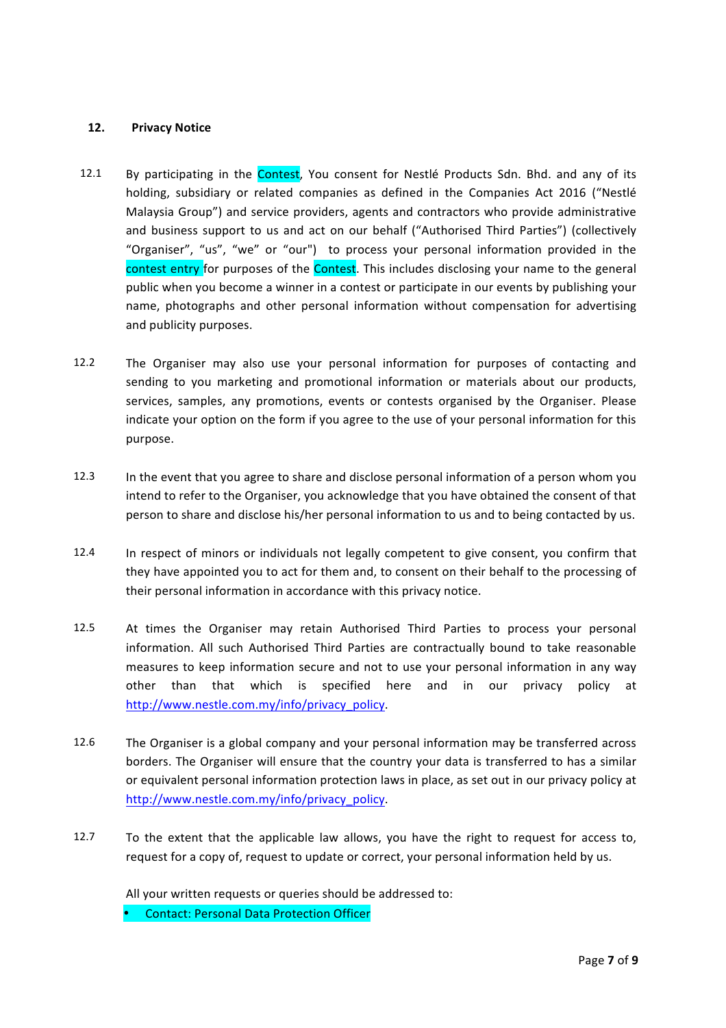#### **12. Privacy Notice**

- 12.1 By participating in the **Contest**, You consent for Nestlé Products Sdn. Bhd. and any of its holding, subsidiary or related companies as defined in the Companies Act 2016 ("Nestlé Malaysia Group") and service providers, agents and contractors who provide administrative and business support to us and act on our behalf ("Authorised Third Parties") (collectively "Organiser", "us", "we" or "our") to process your personal information provided in the contest entry for purposes of the **Contest**. This includes disclosing your name to the general public when you become a winner in a contest or participate in our events by publishing your name, photographs and other personal information without compensation for advertising and publicity purposes.
- 12.2 The Organiser may also use your personal information for purposes of contacting and sending to you marketing and promotional information or materials about our products, services, samples, any promotions, events or contests organised by the Organiser. Please indicate your option on the form if you agree to the use of your personal information for this purpose.
- 12.3 In the event that you agree to share and disclose personal information of a person whom you intend to refer to the Organiser, you acknowledge that you have obtained the consent of that person to share and disclose his/her personal information to us and to being contacted by us.
- 12.4 In respect of minors or individuals not legally competent to give consent, you confirm that they have appointed you to act for them and, to consent on their behalf to the processing of their personal information in accordance with this privacy notice.
- 12.5 At times the Organiser may retain Authorised Third Parties to process your personal information. All such Authorised Third Parties are contractually bound to take reasonable measures to keep information secure and not to use your personal information in any way other than that which is specified here and in our privacy policy at http://www.nestle.com.my/info/privacy\_policy.
- 12.6 The Organiser is a global company and your personal information may be transferred across borders. The Organiser will ensure that the country your data is transferred to has a similar or equivalent personal information protection laws in place, as set out in our privacy policy at http://www.nestle.com.my/info/privacy\_policy.
- 12.7 To the extent that the applicable law allows, you have the right to request for access to, request for a copy of, request to update or correct, your personal information held by us.

All your written requests or queries should be addressed to:

**Contact: Personal Data Protection Officer**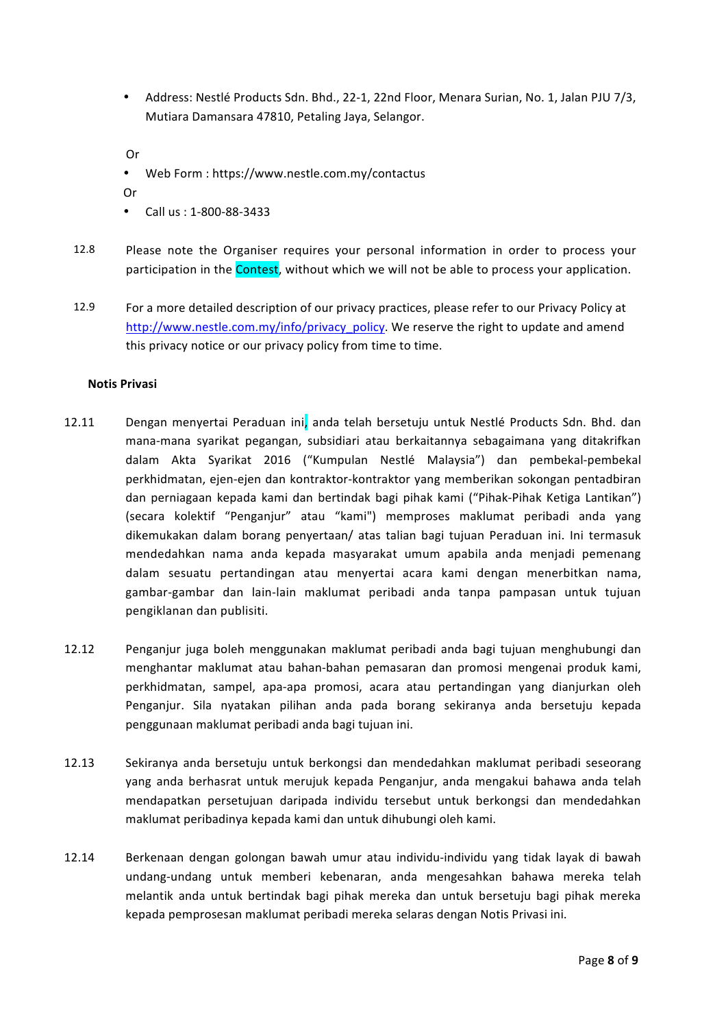• Address: Nestlé Products Sdn. Bhd., 22-1, 22nd Floor, Menara Surian, No. 1, Jalan PJU 7/3, Mutiara Damansara 47810, Petaling Jaya, Selangor.

Or 

• Web Form : https://www.nestle.com.my/contactus

Or 

- Call us: 1-800-88-3433
- 12.8 Please note the Organiser requires your personal information in order to process your participation in the Contest, without which we will not be able to process your application.
- 12.9 For a more detailed description of our privacy practices, please refer to our Privacy Policy at http://www.nestle.com.my/info/privacy\_policy. We reserve the right to update and amend this privacy notice or our privacy policy from time to time.

#### **Notis Privasi**

- 12.11 Dengan menyertai Peraduan ini, anda telah bersetuju untuk Nestlé Products Sdn. Bhd. dan mana-mana syarikat pegangan, subsidiari atau berkaitannya sebagaimana yang ditakrifkan dalam Akta Syarikat 2016 ("Kumpulan Nestlé Malaysia") dan pembekal-pembekal perkhidmatan, ejen-ejen dan kontraktor-kontraktor yang memberikan sokongan pentadbiran dan perniagaan kepada kami dan bertindak bagi pihak kami ("Pihak-Pihak Ketiga Lantikan") (secara kolektif "Penganjur" atau "kami") memproses maklumat peribadi anda yang dikemukakan dalam borang penyertaan/ atas talian bagi tujuan Peraduan ini. Ini termasuk mendedahkan nama anda kepada masyarakat umum apabila anda menjadi pemenang dalam sesuatu pertandingan atau menyertai acara kami dengan menerbitkan nama, gambar-gambar dan lain-lain maklumat peribadi anda tanpa pampasan untuk tujuan pengiklanan dan publisiti.
- 12.12 Penganjur juga boleh menggunakan maklumat peribadi anda bagi tujuan menghubungi dan menghantar maklumat atau bahan-bahan pemasaran dan promosi mengenai produk kami, perkhidmatan, sampel, apa-apa promosi, acara atau pertandingan yang dianjurkan oleh Penganjur. Sila nyatakan pilihan anda pada borang sekiranya anda bersetuju kepada penggunaan maklumat peribadi anda bagi tujuan ini.
- 12.13 Sekiranya anda bersetuju untuk berkongsi dan mendedahkan maklumat peribadi seseorang yang anda berhasrat untuk merujuk kepada Penganjur, anda mengakui bahawa anda telah mendapatkan persetujuan daripada individu tersebut untuk berkongsi dan mendedahkan maklumat peribadinya kepada kami dan untuk dihubungi oleh kami.
- 12.14 Berkenaan dengan golongan bawah umur atau individu-individu yang tidak layak di bawah undang-undang untuk memberi kebenaran, anda mengesahkan bahawa mereka telah melantik anda untuk bertindak bagi pihak mereka dan untuk bersetuju bagi pihak mereka kepada pemprosesan maklumat peribadi mereka selaras dengan Notis Privasi ini.